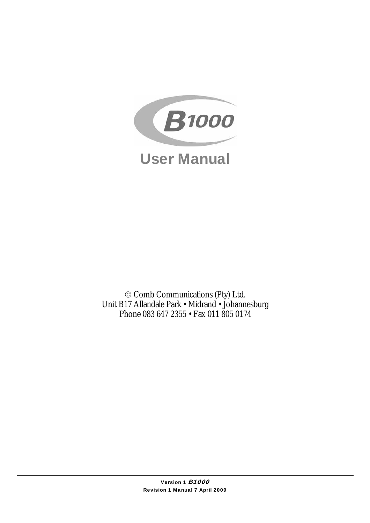

© Comb Communications (Pty) Ltd. Unit B17 Allandale Park • Midrand • Johannesburg Phone 083 647 2355 • Fax 011 805 0174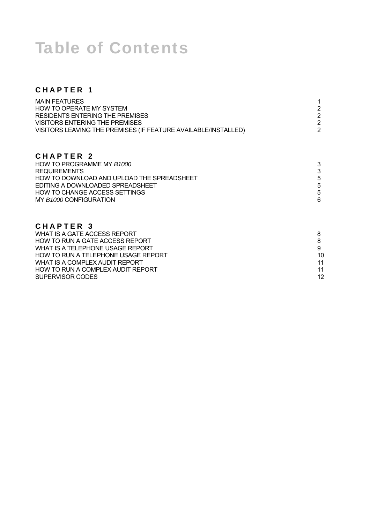# Table of Contents

## **CHAPTER 1**

| $\mathbf{2}^{\prime}$      |
|----------------------------|
| $\overline{2}$             |
| 3<br>3<br>5<br>5<br>5<br>6 |
|                            |
|                            |

### **CHAPTER 3**

| WHAT IS A GATE ACCESS REPORT        |    |
|-------------------------------------|----|
| HOW TO RUN A GATE ACCESS REPORT     |    |
| WHAT IS A TELEPHONE USAGE REPORT    |    |
| HOW TO RUN A TELEPHONE USAGE REPORT | 10 |
| WHAT IS A COMPLEX AUDIT REPORT      | 11 |
| HOW TO RUN A COMPLEX AUDIT REPORT   | 11 |
| SUPERVISOR CODES                    | 12 |
|                                     |    |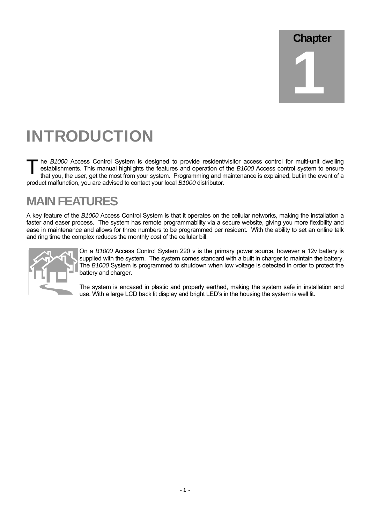# Chapter 1

# INTRODUCTION

he *B1000* Access Control System is designed to provide resident/visitor access control for multi-unit dwelling establishments. This manual highlights the features and operation of the *B1000* Access control system to ensure that you, the user, get the most from your system. Programming and maintenance is explained, but in the event of a product malfunction, you are advised to contact your local *B1000* distributor.  $T_{\rm e}^{\rm h}$ 

## **MAIN FEATURES**

A key feature of the *B1000* Access Control System is that it operates on the cellular networks, making the installation a faster and easer process. The system has remote programmability via a secure website, giving you more flexibility and ease in maintenance and allows for three numbers to be programmed per resident. With the ability to set an online talk and ring time the complex reduces the monthly cost of the cellular bill.



On a *B1000* Access Control System 220 v is the primary power source, however a 12v battery is supplied with the system. The system comes standard with a built in charger to maintain the battery. The *B1000* System is programmed to shutdown when low voltage is detected in order to protect the battery and charger.

The system is encased in plastic and properly earthed, making the system safe in installation and use. With a large LCD back lit display and bright LED's in the housing the system is well lit.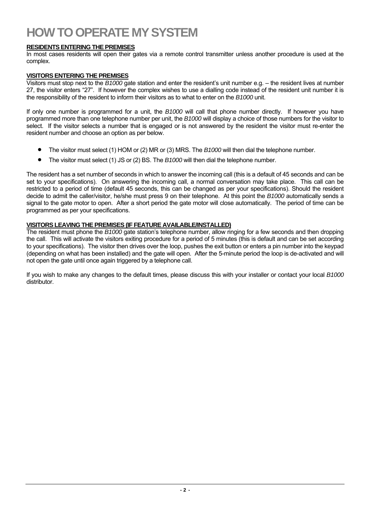## **HOW TO OPERATE MY SYSTEM**

#### **RESIDENTS ENTERING THE PREMISES**

In most cases residents will open their gates via a remote control transmitter unless another procedure is used at the complex.

#### **VISITORS ENTERING THE PREMISES**

Visitors must stop next to the *B1000* gate station and enter the resident's unit number e.g. – the resident lives at number 27, the visitor enters "27". If however the complex wishes to use a dialling code instead of the resident unit number it is the responsibility of the resident to inform their visitors as to what to enter on the *B1000* unit.

If only one number is programmed for a unit, the *B1000* will call that phone number directly. If however you have programmed more than one telephone number per unit, the *B1000* will display a choice of those numbers for the visitor to select. If the visitor selects a number that is engaged or is not answered by the resident the visitor must re-enter the resident number and choose an option as per below.

- The visitor must select (1) HOM or (2) MR or (3) MRS. The *B1000* will then dial the telephone number.
- The visitor must select (1) JS or (2) BS. The *B1000* will then dial the telephone number.

The resident has a set number of seconds in which to answer the incoming call (this is a default of 45 seconds and can be set to your specifications). On answering the incoming call, a normal conversation may take place. This call can be restricted to a period of time (default 45 seconds, this can be changed as per your specifications). Should the resident decide to admit the caller/visitor, he/she must press 9 on their telephone. At this point the *B1000* automatically sends a signal to the gate motor to open. After a short period the gate motor will close automatically. The period of time can be programmed as per your specifications.

#### **VISITORS LEAVING THE PREMISES (IF FEATURE AVAILABLE/INSTALLED)**

The resident must phone the *B1000* gate station's telephone number, allow ringing for a few seconds and then dropping the call. This will activate the visitors exiting procedure for a period of 5 minutes (this is default and can be set according to your specifications). The visitor then drives over the loop, pushes the exit button or enters a pin number into the keypad (depending on what has been installed) and the gate will open. After the 5-minute period the loop is de-activated and will not open the gate until once again triggered by a telephone call.

If you wish to make any changes to the default times, please discuss this with your installer or contact your local *B1000* distributor.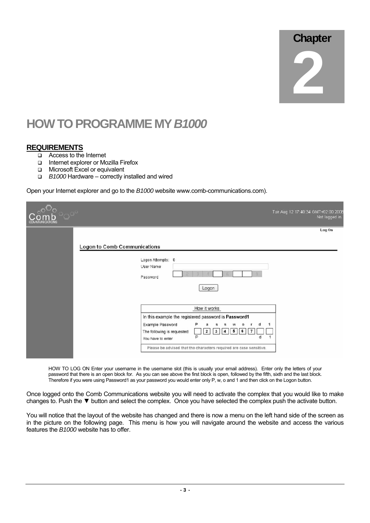# **Chapter** 2

## **HOW TO PROGRAMME MY** *B1000*

#### **REQUIREMENTS**

- Access to the Internet
- Internet explorer or Mozilla Firefox
- **D** Microsoft Excel or equivalent
- *B1000* Hardware correctly installed and wired

Open your Internet explorer and go to the *B1000* website www.comb-communications.com).

| <b>COMMUNICATIONS</b> |                                                                                                                                                                                      | Tue Aug 12 17:40:34 GMT+02:00 200<br>Not logged in |
|-----------------------|--------------------------------------------------------------------------------------------------------------------------------------------------------------------------------------|----------------------------------------------------|
|                       | Logon to Comb Communications<br>Logon Attempts: 0<br>User Name<br>Password                                                                                                           | Log On                                             |
|                       | Logon<br>How it works<br>In this example the registered password is Password1<br>Example Password<br>$\circ$                                                                         |                                                    |
|                       | The following is requested:<br>$\overline{\mathbf{2}}$<br>5<br>6<br>7<br>з<br>4<br>P<br>d<br>You have to enter<br>Please be advised that the characters required are case sensitive. |                                                    |

HOW TO LOG ON Enter your username in the username slot (this is usually your email address). Enter only the letters of your password that there is an open block for. As you can see above the first block is open, followed by the fifth, sixth and the last block. Therefore if you were using Password1 as your password you would enter only P, w, o and 1 and then click on the Logon button.

Once logged onto the Comb Communications website you will need to activate the complex that you would like to make changes to. Push the ▼ button and select the complex. Once you have selected the complex push the activate button.

You will notice that the layout of the website has changed and there is now a menu on the left hand side of the screen as in the picture on the following page. This menu is how you will navigate around the website and access the various features the *B1000* website has to offer.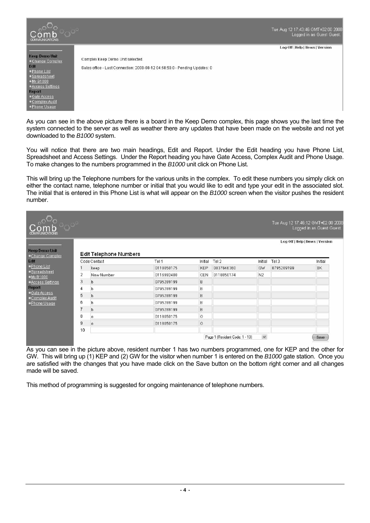

As you can see in the above picture there is a board in the Keep Demo complex, this page shows you the last time the system connected to the server as well as weather there any updates that have been made on the website and not yet downloaded to the *B1000* system.

You will notice that there are two main headings, Edit and Report. Under the Edit heading you have Phone List, Spreadsheet and Access Settings. Under the Report heading you have Gate Access, Complex Audit and Phone Usage. To make changes to the numbers programmed in the *B1000* unit click on Phone List.

This will bring up the Telephone numbers for the various units in the complex. To edit these numbers you simply click on either the contact name, telephone number or initial that you would like to edit and type your edit in the associated slot. The initial that is entered in this Phone List is what will appear on the *B1000* screen when the visitor pushes the resident number.

| <b>COMMUNICATIONS</b>                   |                |                               |            |            |                                |                | Tue Aug 12 17:46:12 GMT+02:00 2008 | Logged in as Guest Guest. |
|-----------------------------------------|----------------|-------------------------------|------------|------------|--------------------------------|----------------|------------------------------------|---------------------------|
| <b>Keep Demo Unit</b><br>Change Complex |                | <b>Edit Telephone Numbers</b> |            |            |                                |                | Log Off   Help   News   Version    |                           |
|                                         |                | Code Contact                  | Tel 1      | Initial    | Tel 2                          | Initial        | Tel 3                              | Initial                   |
| - Phone List                            |                | keep                          | 0118050175 | <b>KEP</b> | 0837846360                     | GW             | 0795289199                         | BK                        |
| Spreadsheet<br>$-Mv = 1000$             | 2              | New Number                    | 0116992400 | <b>CEN</b> | 0118050174                     | N <sub>2</sub> |                                    |                           |
| -Access Settings                        | 3              | b                             | 0795289199 | B          |                                |                |                                    |                           |
| <b>Report</b>                           | 4              | h                             | 0795289199 | B          |                                |                |                                    |                           |
| Gate Access<br>Complex Audit            | 5              | b                             | 0795289199 | B          |                                |                |                                    |                           |
| -Phone Usage                            | 6              |                               | 0795289199 | B          |                                |                |                                    |                           |
|                                         | 7              | b                             | 0795289199 | B          |                                |                |                                    |                           |
|                                         | 8              | o                             | 0118050175 | $\circ$    |                                |                |                                    |                           |
|                                         | $\overline{9}$ | ٥                             | 0118050175 | $\circ$    |                                |                |                                    |                           |
|                                         | 10             |                               |            |            |                                |                |                                    |                           |
|                                         |                |                               |            |            | Page 1 [Resident Code: 1 - 10] | $\checkmark$   |                                    | Save                      |

As you can see in the picture above, resident number 1 has two numbers programmed, one for KEP and the other for GW. This will bring up (1) KEP and (2) GW for the visitor when number 1 is entered on the *B1000* gate station. Once you are satisfied with the changes that you have made click on the Save button on the bottom right corner and all changes made will be saved.

This method of programming is suggested for ongoing maintenance of telephone numbers.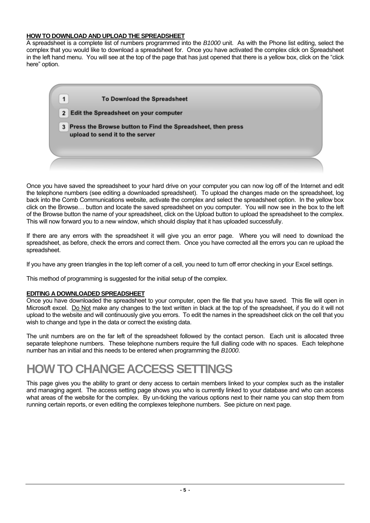#### **HOW TO DOWNLOAD AND UPLOAD THE SPREADSHEET**

A spreadsheet is a complete list of numbers programmed into the *B1000* unit. As with the Phone list editing, select the complex that you would like to download a spreadsheet for. Once you have activated the complex click on Spreadsheet in the left hand menu. You will see at the top of the page that has just opened that there is a yellow box, click on the "click here" option.

| 1              | To Download the Spreadsheet                                                                      |  |
|----------------|--------------------------------------------------------------------------------------------------|--|
| 2 <sup>2</sup> | Edit the Spreadsheet on your computer                                                            |  |
|                | 3 Press the Browse button to Find the Spreadsheet, then press<br>upload to send it to the server |  |
|                |                                                                                                  |  |

Once you have saved the spreadsheet to your hard drive on your computer you can now log off of the Internet and edit the telephone numbers (see editing a downloaded spreadsheet). To upload the changes made on the spreadsheet, log back into the Comb Communications website, activate the complex and select the spreadsheet option. In the yellow box click on the Browse… button and locate the saved spreadsheet on you computer. You will now see in the box to the left of the Browse button the name of your spreadsheet, click on the Upload button to upload the spreadsheet to the complex. This will now forward you to a new window, which should display that it has uploaded successfully.

If there are any errors with the spreadsheet it will give you an error page. Where you will need to download the spreadsheet, as before, check the errors and correct them. Once you have corrected all the errors you can re upload the spreadsheet.

If you have any green triangles in the top left corner of a cell, you need to turn off error checking in your Excel settings.

This method of programming is suggested for the initial setup of the complex.

#### **EDITING A DOWNLOADED SPREADSHEET**

Once you have downloaded the spreadsheet to your computer, open the file that you have saved. This file will open in Microsoft excel. Do Not make any changes to the text written in black at the top of the spreadsheet, if you do it will not upload to the website and will continuously give you errors. To edit the names in the spreadsheet click on the cell that you wish to change and type in the data or correct the existing data.

The unit numbers are on the far left of the spreadsheet followed by the contact person. Each unit is allocated three separate telephone numbers. These telephone numbers require the full dialling code with no spaces. Each telephone number has an initial and this needs to be entered when programming the *B1000*.

## **HOW TO CHANGE ACCESS SETTINGS**

This page gives you the ability to grant or deny access to certain members linked to your complex such as the installer and managing agent. The access setting page shows you who is currently linked to your database and who can access what areas of the website for the complex. By un-ticking the various options next to their name you can stop them from running certain reports, or even editing the complexes telephone numbers. See picture on next page.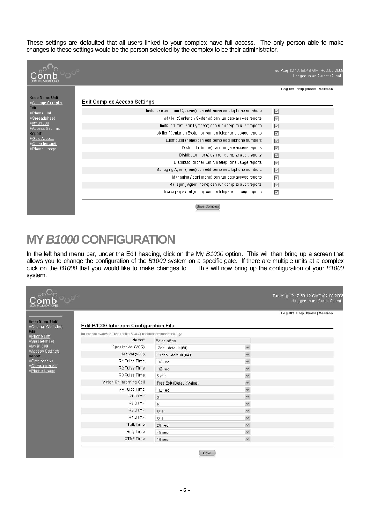These settings are defaulted that all users linked to your complex have full access. The only person able to make changes to these settings would be the person selected by the complex to be their administrator.



## **MY** *B1000* **CONFIGURATION**

In the left hand menu bar, under the Edit heading, click on the My *B1000* option. This will then bring up a screen that allows you to change the configuration of the *B1000* system on a specific gate. If there are multiple units at a complex click on the *B1000* that you would like to make changes to. This will now bring up the configuration of your *B1000* system.

| <b>COMMUNICATIONS</b>                   |                                                        |                           |              | Tue Aug 12 17:59:12 GMT +02:00 20<br>Logged in as Guest Gues |
|-----------------------------------------|--------------------------------------------------------|---------------------------|--------------|--------------------------------------------------------------|
| <b>Keep Demo Unit</b><br>Change Complex | Edit B1000 Intercom Configuration File                 |                           |              | Log Off   Help   News   Version                              |
| Edit<br>· Phone List                    | Intercom Sales office (11BF53A7) modified successfully |                           |              |                                                              |
| ·Spreadsheet                            | Name*                                                  | Sales office              |              |                                                              |
| +My B1000                               | Speaker Vol (VGR)                                      | $-2db - default (64)$     | $\checkmark$ |                                                              |
| -Access Settings<br><b>Report</b>       | Mic Vol (VGT)                                          | +36db - default (64)      | $\checkmark$ |                                                              |
| <b>Gate Access</b>                      | R1 Pulse Time                                          | $1/2$ sec                 | $\checkmark$ |                                                              |
| Complex Audit<br>· Phone Usage          | R <sub>2</sub> Pulse Time                              | $1/2$ sec                 | $\checkmark$ |                                                              |
|                                         | R3 Pulse Time                                          | 5 min                     | $\checkmark$ |                                                              |
|                                         | Action On Incoming Call                                | Free Exit (Default Value) | $\checkmark$ |                                                              |
|                                         | R4 Pulse Time                                          | $1/2$ sec                 | $\checkmark$ |                                                              |
|                                         | R1 DTMF                                                | $\overline{9}$            | $\checkmark$ |                                                              |
|                                         | R <sub>2</sub> DTMF                                    | 6                         | $\checkmark$ |                                                              |
|                                         | R3 DTMF                                                | OFF.                      | $\checkmark$ |                                                              |
|                                         | R4 DTMF                                                | OFF                       | $\checkmark$ |                                                              |
|                                         | Talk Time                                              | 20 sec                    | $\checkmark$ |                                                              |
|                                         | Ring Time                                              | 45 sec                    | $\checkmark$ |                                                              |
|                                         | <b>DTMF</b> Time                                       | 10 sec                    | $\checkmark$ |                                                              |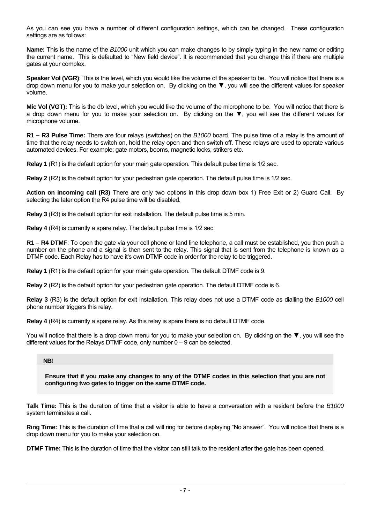As you can see you have a number of different configuration settings, which can be changed. These configuration settings are as follows:

**Name:** This is the name of the *B1000* unit which you can make changes to by simply typing in the new name or editing the current name. This is defaulted to "New field device". It is recommended that you change this if there are multiple gates at your complex.

**Speaker Vol (VGR)**: This is the level, which you would like the volume of the speaker to be. You will notice that there is a drop down menu for you to make your selection on. By clicking on the ▼, you will see the different values for speaker volume.

**Mic Vol (VGT):** This is the db level, which you would like the volume of the microphone to be. You will notice that there is a drop down menu for you to make your selection on. By clicking on the ▼, you will see the different values for microphone volume.

**R1 – R3 Pulse Time:** There are four relays (switches) on the *B1000* board. The pulse time of a relay is the amount of time that the relay needs to switch on, hold the relay open and then switch off. These relays are used to operate various automated devices. For example: gate motors, booms, magnetic locks, strikers etc.

**Relay 1** (R1) is the default option for your main gate operation. This default pulse time is 1/2 sec.

**Relay 2** (R2) is the default option for your pedestrian gate operation. The default pulse time is 1/2 sec.

**Action on incoming call (R3)** There are only two options in this drop down box 1) Free Exit or 2) Guard Call. By selecting the later option the R4 pulse time will be disabled.

**Relay 3** (R3) is the default option for exit installation. The default pulse time is 5 min.

**Relay 4** (R4) is currently a spare relay. The default pulse time is 1/2 sec.

**R1 – R4 DTMF**: To open the gate via your cell phone or land line telephone, a call must be established, you then push a number on the phone and a signal is then sent to the relay. This signal that is sent from the telephone is known as a DTMF code. Each Relay has to have it's own DTMF code in order for the relay to be triggered.

**Relay 1** (R1) is the default option for your main gate operation. The default DTMF code is 9.

**Relay 2** (R2) is the default option for your pedestrian gate operation. The default DTMF code is 6.

**Relay 3** (R3) is the default option for exit installation. This relay does not use a DTMF code as dialling the *B1000* cell phone number triggers this relay.

**Relay 4** (R4) is currently a spare relay. As this relay is spare there is no default DTMF code.

You will notice that there is a drop down menu for you to make your selection on. By clicking on the ▼, you will see the different values for the Relays DTMF code, only number 0 – 9 can be selected.

#### **NB!**

**Ensure that if you make any changes to any of the DTMF codes in this selection that you are not configuring two gates to trigger on the same DTMF code.** 

**Talk Time:** This is the duration of time that a visitor is able to have a conversation with a resident before the *B1000* system terminates a call.

**Ring Time:** This is the duration of time that a call will ring for before displaying "No answer". You will notice that there is a drop down menu for you to make your selection on.

**DTMF Time:** This is the duration of time that the visitor can still talk to the resident after the gate has been opened.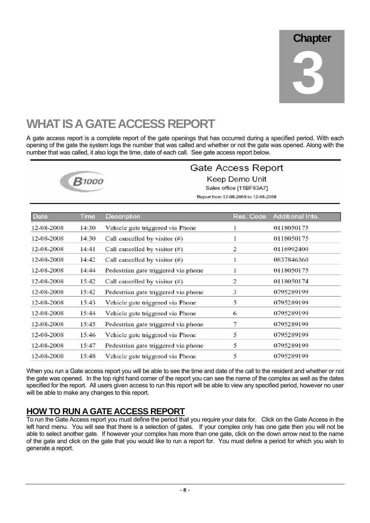# **WHAT IS A GATE ACCESS REPORT**

A gate access report is a complete report of the gate openings that has occurred during a specified period. With each opening of the gate the system logs the number that was called and whether or not the gate was opened. Along with the number that was called, it also logs the time, date of each call. See gate access report below.



### **Gate Access Report**

Keep Demo Unit Sales office [11BF53A7] Report from 12-08-2008 to 12-08-2008

| <b>Date</b> | Time  | Description                         | Res. Code      | Additional Info. |
|-------------|-------|-------------------------------------|----------------|------------------|
| 12-08-2008  | 14:30 | Vehicle gate triggered via Phone    |                | 0118050175       |
| 12-08-2008  | 14:30 | Call cancelled by visitor $(\#)$    |                | 0118050175       |
| 12-08-2008  | 14:41 | Call cancelled by visitor $(\#)$    | 2              | 0116992400       |
| 12-08-2008  | 14:42 | Call cancelled by visitor $(\#)$    |                | 0837846360       |
| 12-08-2008  | 14:44 | Pedestrian gate triggered via phone |                | 0118050175       |
| 12-08-2008  | 15:42 | Call cancelled by visitor $(\#)$    | $\overline{c}$ | 0118050174       |
| 12-08-2008  | 15:42 | Pedestrian gate triggered via phone | 3              | 0795289199       |
| 12-08-2008  | 15:43 | Vehicle gate triggered via Phone    | 5              | 0795289199       |
| 12-08-2008  | 15:44 | Vehicle gate triggered via Phone    | 6              | 0795289199       |
| 12-08-2008  | 15:45 | Pedestrian gate triggered via phone | 7              | 0795289199       |
| 12-08-2008  | 15:46 | Vehicle gate triggered via Phone    | 5              | 0795289199       |
| 12-08-2008  | 15:47 | Pedestrian gate triggered via phone | 5              | 0795289199       |
| 12-08-2008  | 15:48 | Vehicle gate triggered via Phone    | 5              | 0795289199       |

When you run a Gate access report you will be able to see the time and date of the call to the resident and whether or not the gate was opened. In the top right hand corner of the report you can see the name of the complex as well as the dates specified for the report. All users given access to run this report will be able to view any specified period, however no user will be able to make any changes to this report.

## **HOW TO RUN A GATE ACCESS REPORT**

To run the Gate Access report you must define the period that you require your data for. Click on the Gate Access in the left hand menu. You will see that there is a selection of gates. If your complex only has one gate then you will not be able to select another gate. If however your complex has more than one gate, click on the down arrow next to the name of the gate and click on the gate that you would like to run a report for. You must define a period for which you wish to generate a report.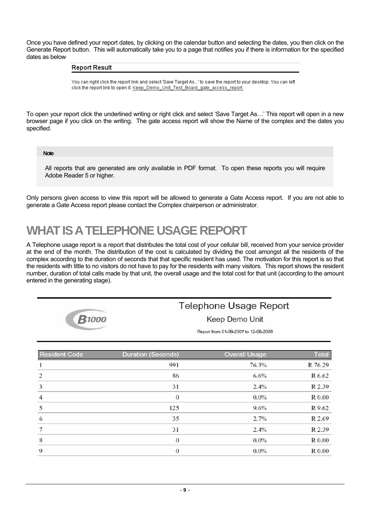Once you have defined your report dates, by clicking on the calendar button and selecting the dates, you then click on the Generate Report button. This will automatically take you to a page that notifies you if there is information for the specified dates as below

#### **Report Result**

You can right click the report link and select 'Save Target As...' to save the report to your desktop. You can left click the report link to open it. Keep\_Demo\_Unit\_Test\_Board\_gate\_access\_report.

To open your report click the underlined writing or right click and select 'Save Target As…' This report will open in a new browser page if you click on the writing. The gate access report will show the Name of the complex and the dates you specified.

**Note** 

All reports that are generated are only available in PDF format. To open these reports you will require Adobe Reader 5 or higher.

Only persons given access to view this report will be allowed to generate a Gate Access report. If you are not able to generate a Gate Access report please contact the Complex chairperson or administrator.

## **WHAT IS A TELEPHONE USAGE REPORT**

A Telephone usage report is a report that distributes the total cost of your cellular bill, received from your service provider at the end of the month. The distribution of the cost is calculated by dividing the cost amongst all the residents of the complex according to the duration of seconds that that specific resident has used. The motivation for this report is so that the residents with little to no visitors do not have to pay for the residents with many visitors. This report shows the resident number, duration of total calls made by that unit, the overall usage and the total cost for that unit (according to the amount entered in the generating stage).



## Telephone Usage Report

Keep Demo Unit

Report from 01-08-2007 to 12-08-2008

| Resident Code | Duration (Seconds) | Overall Usage | Total   |
|---------------|--------------------|---------------|---------|
|               | 991                | 76.3%         | R 76.29 |
|               | 86                 | 6.6%          | R 6.62  |
| 3             | 31                 | 2.4%          | R 2.39  |
| 4             | $\theta$           | $0.0\%$       | R 0.00  |
| 5             | 125                | 9.6%          | R 9.62  |
| 6             | 35                 | 2.7%          | R 2.69  |
|               | 31                 | 2.4%          | R 2.39  |
| 8             | $\theta$           | $0.0\%$       | R 0.00  |
| 9             | $\bf{0}$           | $0.0\%$       | R 0.00  |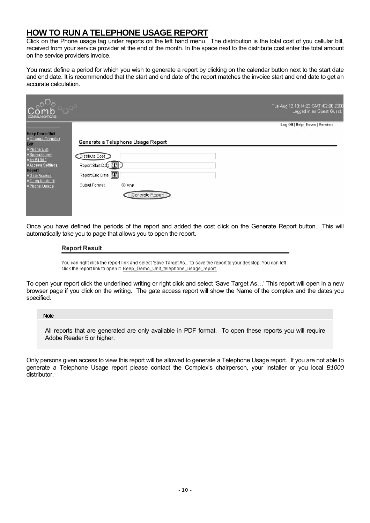### **HOW TO RUN A TELEPHONE USAGE REPORT**

Click on the Phone usage tag under reports on the left hand menu. The distribution is the total cost of you cellular bill, received from your service provider at the end of the month. In the space next to the distribute cost enter the total amount on the service providers invoice.

You must define a period for which you wish to generate a report by clicking on the calendar button next to the start date and end date. It is recommended that the start and end date of the report matches the invoice start and end date to get an accurate calculation.

| <b>COMMUNICATIONS</b>                                                                                                                                                                    |                                                                                                                                                | Tue Aug 12 18:14:23 GMT+02:00 2008<br>Logged in as Guest Guest. |
|------------------------------------------------------------------------------------------------------------------------------------------------------------------------------------------|------------------------------------------------------------------------------------------------------------------------------------------------|-----------------------------------------------------------------|
| <b>Keep Demo Unit</b><br>. Change Complex<br>Edit<br>· Phone List<br>·Spreadsheet<br>$-My B1000$<br>- Access Settings<br><b>Report</b><br>.Gate Access<br>Complex Audit<br>- Phone Usage | Generate a Telephone Usage Report<br>Distrbute Cost<br>Report Start Date<br>Report End Date<br><b>OPDF</b><br>Output Format<br>Generate Report | Log Off   Help   Hews   Version                                 |

Once you have defined the periods of the report and added the cost click on the Generate Report button. This will automatically take you to page that allows you to open the report.

#### **Report Result**

You can right click the report link and select 'Save Target As...' to save the report to your desktop. You can left click the report link to open it. Keep\_Demo\_Unit\_telephone\_usage\_report.

To open your report click the underlined writing or right click and select 'Save Target As…' This report will open in a new browser page if you click on the writing. The gate access report will show the Name of the complex and the dates you specified.

#### **Note**

All reports that are generated are only available in PDF format. To open these reports you will require Adobe Reader 5 or higher.

Only persons given access to view this report will be allowed to generate a Telephone Usage report. If you are not able to generate a Telephone Usage report please contact the Complex's chairperson, your installer or you local *B1000* distributor.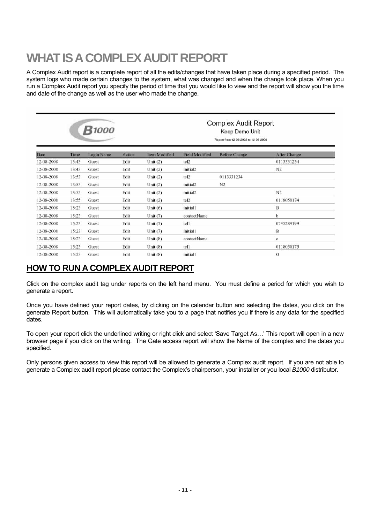# **WHAT IS A COMPLEX AUDIT REPORT**

A Complex Audit report is a complete report of all the edits/changes that have taken place during a specified period. The system logs who made certain changes to the system, what was changed and when the change took place. When you run a Complex Audit report you specify the period of time that you would like to view and the report will show you the time and date of the change as well as the user who made the change.

|            |       | <b>B</b> 1000 |        |               |                       | <b>Complex Audit Report</b><br>Keep Demo Unit<br>Report from 12-08-2008 to 12-08-2008 |                     |
|------------|-------|---------------|--------|---------------|-----------------------|---------------------------------------------------------------------------------------|---------------------|
| Date       | Time  | Login Name    | Action | Item Modified | <b>Field Modified</b> | <b>Before Change</b>                                                                  | <b>After Change</b> |
| 12-08-2008 | 13:43 | Guest         | Edit   | Unit $(2)$    | tel <sub>2</sub>      |                                                                                       | 0113331234          |
| 12-08-2008 | 13:43 | Guest         | Edit   | Unit $(2)$    | initial <sub>2</sub>  |                                                                                       | N <sub>2</sub>      |
| 12-08-2008 | 13:53 | Guest         | Edit   | Unit $(2)$    | te12                  | 0113331234                                                                            |                     |
| 12-08-2008 | 13:53 | Guest         | Edit   | Unit $(2)$    | initial <sub>2</sub>  | N2                                                                                    |                     |
| 12-08-2008 | 13:55 | Guest         | Edit   | Unit $(2)$    | initial2              |                                                                                       | N <sub>2</sub>      |
| 12-08-2008 | 13:55 | Guest         | Edit   | Unit $(2)$    | tel <sub>2</sub>      |                                                                                       | 0118050174          |
| 12-08-2008 | 15:23 | Guest         | Edit   | Unit $(6)$    | <i>initial1</i>       |                                                                                       | B                   |
| 12-08-2008 | 15:23 | Guest         | Edit   | Unit $(7)$    | contactName           |                                                                                       | b                   |
| 12-08-2008 | 15:23 | Guest         | Edit   | Unit $(7)$    | tell                  |                                                                                       | 0795289199          |
| 12-08-2008 | 15:23 | Guest         | Edit   | Unit $(7)$    | initial1              |                                                                                       | В                   |
| 12-08-2008 | 15:23 | Guest         | Edit   | Unit $(8)$    | contactName           |                                                                                       | $\mathbf{o}$        |
| 12-08-2008 | 15:23 | Guest         | Edit   | Unit $(8)$    | tel1                  |                                                                                       | 0118050175          |
| 12-08-2008 | 15:23 | Guest         | Edit   | Unit $(8)$    | initial1              |                                                                                       | $\Omega$            |

## **HOW TO RUN A COMPLEX AUDIT REPORT**

Click on the complex audit tag under reports on the left hand menu. You must define a period for which you wish to generate a report.

Once you have defined your report dates, by clicking on the calendar button and selecting the dates, you click on the generate Report button. This will automatically take you to a page that notifies you if there is any data for the specified dates.

To open your report click the underlined writing or right click and select 'Save Target As…' This report will open in a new browser page if you click on the writing. The Gate access report will show the Name of the complex and the dates you specified.

Only persons given access to view this report will be allowed to generate a Complex audit report. If you are not able to generate a Complex audit report please contact the Complex's chairperson, your installer or you local *B1000* distributor.